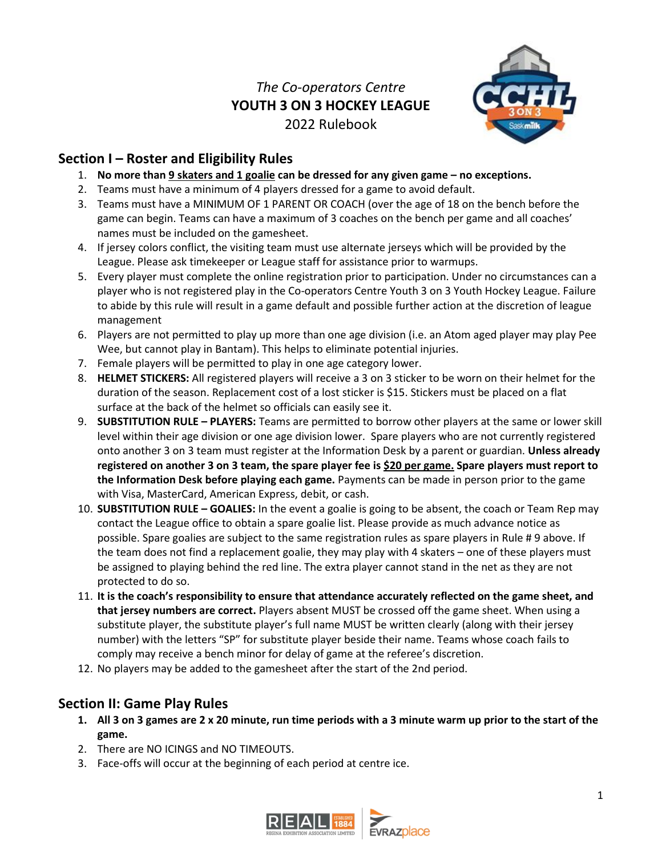# *The Co-operators Centre* **YOUTH 3 ON 3 HOCKEY LEAGUE** 2022 Rulebook



## **Section I – Roster and Eligibility Rules**

- 1. **No more than 9 skaters and 1 goalie can be dressed for any given game – no exceptions.**
- 2. Teams must have a minimum of 4 players dressed for a game to avoid default.
- 3. Teams must have a MINIMUM OF 1 PARENT OR COACH (over the age of 18 on the bench before the game can begin. Teams can have a maximum of 3 coaches on the bench per game and all coaches' names must be included on the gamesheet.
- 4. If jersey colors conflict, the visiting team must use alternate jerseys which will be provided by the League. Please ask timekeeper or League staff for assistance prior to warmups.
- 5. Every player must complete the online registration prior to participation. Under no circumstances can a player who is not registered play in the Co-operators Centre Youth 3 on 3 Youth Hockey League. Failure to abide by this rule will result in a game default and possible further action at the discretion of league management
- 6. Players are not permitted to play up more than one age division (i.e. an Atom aged player may play Pee Wee, but cannot play in Bantam). This helps to eliminate potential injuries.
- 7. Female players will be permitted to play in one age category lower.
- 8. **HELMET STICKERS:** All registered players will receive a 3 on 3 sticker to be worn on their helmet for the duration of the season. Replacement cost of a lost sticker is \$15. Stickers must be placed on a flat surface at the back of the helmet so officials can easily see it.
- 9. **SUBSTITUTION RULE – PLAYERS:** Teams are permitted to borrow other players at the same or lower skill level within their age division or one age division lower. Spare players who are not currently registered onto another 3 on 3 team must register at the Information Desk by a parent or guardian. **Unless already registered on another 3 on 3 team, the spare player fee is \$20 per game. Spare players must report to the Information Desk before playing each game.** Payments can be made in person prior to the game with Visa, MasterCard, American Express, debit, or cash.
- 10. **SUBSTITUTION RULE – GOALIES:** In the event a goalie is going to be absent, the coach or Team Rep may contact the League office to obtain a spare goalie list. Please provide as much advance notice as possible. Spare goalies are subject to the same registration rules as spare players in Rule # 9 above. If the team does not find a replacement goalie, they may play with 4 skaters – one of these players must be assigned to playing behind the red line. The extra player cannot stand in the net as they are not protected to do so.
- 11. **It is the coach's responsibility to ensure that attendance accurately reflected on the game sheet, and that jersey numbers are correct.** Players absent MUST be crossed off the game sheet. When using a substitute player, the substitute player's full name MUST be written clearly (along with their jersey number) with the letters "SP" for substitute player beside their name. Teams whose coach fails to comply may receive a bench minor for delay of game at the referee's discretion.
- 12. No players may be added to the gamesheet after the start of the 2nd period.

## **Section II: Game Play Rules**

- **1. All 3 on 3 games are 2 x 20 minute, run time periods with a 3 minute warm up prior to the start of the game.**
- 2. There are NO ICINGS and NO TIMEOUTS.
- 3. Face-offs will occur at the beginning of each period at centre ice.

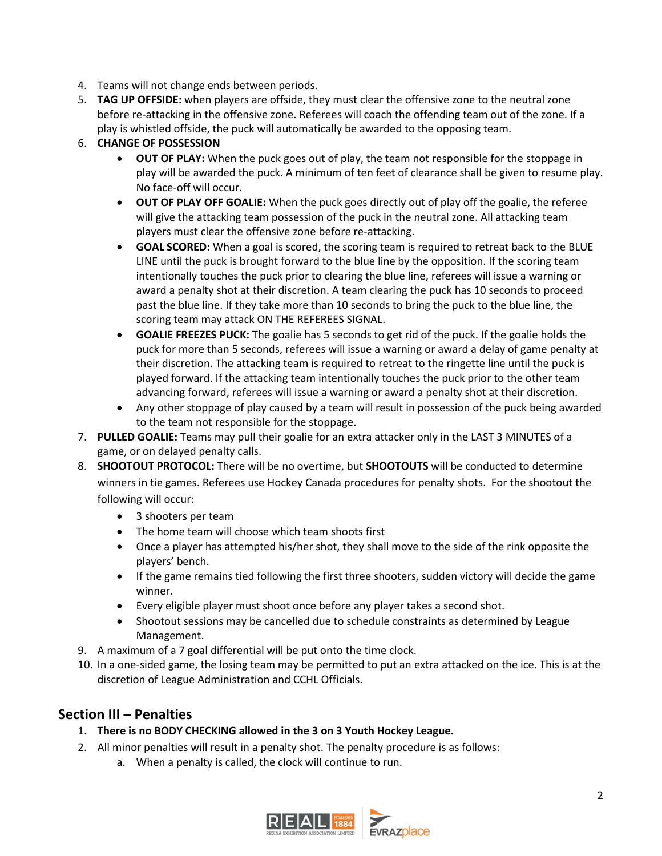- 4. Teams will not change ends between periods.
- 5. **TAG UP OFFSIDE:** when players are offside, they must clear the offensive zone to the neutral zone before re-attacking in the offensive zone. Referees will coach the offending team out of the zone. If a play is whistled offside, the puck will automatically be awarded to the opposing team.

#### 6. **CHANGE OF POSSESSION**

- **OUT OF PLAY:** When the puck goes out of play, the team not responsible for the stoppage in play will be awarded the puck. A minimum of ten feet of clearance shall be given to resume play. No face-off will occur.
- **OUT OF PLAY OFF GOALIE:** When the puck goes directly out of play off the goalie, the referee will give the attacking team possession of the puck in the neutral zone. All attacking team players must clear the offensive zone before re-attacking.
- **GOAL SCORED:** When a goal is scored, the scoring team is required to retreat back to the BLUE LINE until the puck is brought forward to the blue line by the opposition. If the scoring team intentionally touches the puck prior to clearing the blue line, referees will issue a warning or award a penalty shot at their discretion. A team clearing the puck has 10 seconds to proceed past the blue line. If they take more than 10 seconds to bring the puck to the blue line, the scoring team may attack ON THE REFEREES SIGNAL.
- **GOALIE FREEZES PUCK:** The goalie has 5 seconds to get rid of the puck. If the goalie holds the puck for more than 5 seconds, referees will issue a warning or award a delay of game penalty at their discretion. The attacking team is required to retreat to the ringette line until the puck is played forward. If the attacking team intentionally touches the puck prior to the other team advancing forward, referees will issue a warning or award a penalty shot at their discretion.
- Any other stoppage of play caused by a team will result in possession of the puck being awarded to the team not responsible for the stoppage.
- 7. **PULLED GOALIE:** Teams may pull their goalie for an extra attacker only in the LAST 3 MINUTES of a game, or on delayed penalty calls.
- 8. **SHOOTOUT PROTOCOL:** There will be no overtime, but **SHOOTOUTS** will be conducted to determine winners in tie games. Referees use Hockey Canada procedures for penalty shots. For the shootout the following will occur:
	- 3 shooters per team
	- The home team will choose which team shoots first
	- Once a player has attempted his/her shot, they shall move to the side of the rink opposite the players' bench.
	- If the game remains tied following the first three shooters, sudden victory will decide the game winner.
	- Every eligible player must shoot once before any player takes a second shot.
	- Shootout sessions may be cancelled due to schedule constraints as determined by League Management.
- 9. A maximum of a 7 goal differential will be put onto the time clock.
- 10. In a one-sided game, the losing team may be permitted to put an extra attacked on the ice. This is at the discretion of League Administration and CCHL Officials.

### **Section III – Penalties**

- 1. **There is no BODY CHECKING allowed in the 3 on 3 Youth Hockey League.**
- 2. All minor penalties will result in a penalty shot. The penalty procedure is as follows:
	- a. When a penalty is called, the clock will continue to run.

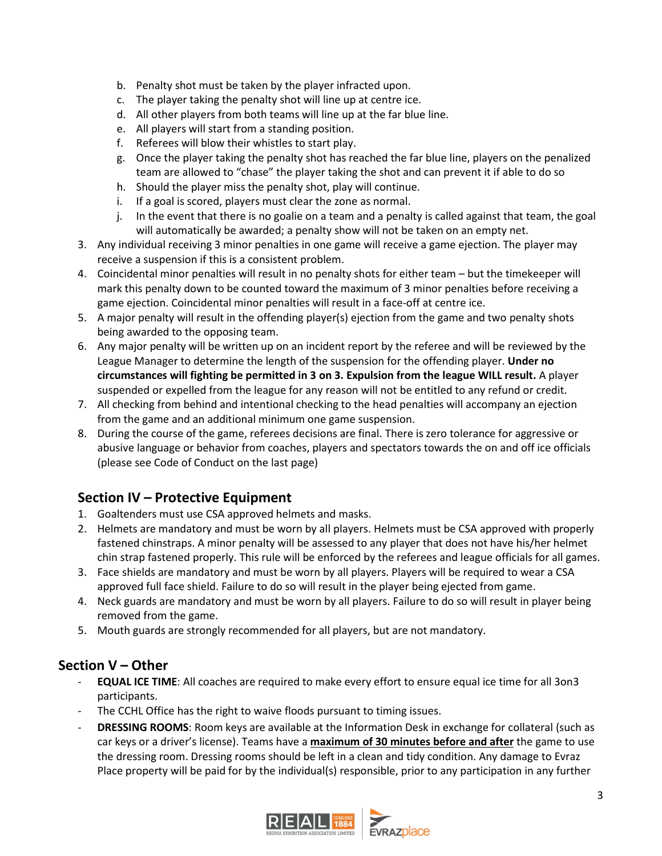- b. Penalty shot must be taken by the player infracted upon.
- c. The player taking the penalty shot will line up at centre ice.
- d. All other players from both teams will line up at the far blue line.
- e. All players will start from a standing position.
- f. Referees will blow their whistles to start play.
- g. Once the player taking the penalty shot has reached the far blue line, players on the penalized team are allowed to "chase" the player taking the shot and can prevent it if able to do so
- h. Should the player miss the penalty shot, play will continue.
- i. If a goal is scored, players must clear the zone as normal.
- j. In the event that there is no goalie on a team and a penalty is called against that team, the goal will automatically be awarded; a penalty show will not be taken on an empty net.
- 3. Any individual receiving 3 minor penalties in one game will receive a game ejection. The player may receive a suspension if this is a consistent problem.
- 4. Coincidental minor penalties will result in no penalty shots for either team but the timekeeper will mark this penalty down to be counted toward the maximum of 3 minor penalties before receiving a game ejection. Coincidental minor penalties will result in a face-off at centre ice.
- 5. A major penalty will result in the offending player(s) ejection from the game and two penalty shots being awarded to the opposing team.
- 6. Any major penalty will be written up on an incident report by the referee and will be reviewed by the League Manager to determine the length of the suspension for the offending player. **Under no circumstances will fighting be permitted in 3 on 3. Expulsion from the league WILL result.** A player suspended or expelled from the league for any reason will not be entitled to any refund or credit.
- 7. All checking from behind and intentional checking to the head penalties will accompany an ejection from the game and an additional minimum one game suspension.
- 8. During the course of the game, referees decisions are final. There is zero tolerance for aggressive or abusive language or behavior from coaches, players and spectators towards the on and off ice officials (please see Code of Conduct on the last page)

### **Section IV – Protective Equipment**

- 1. Goaltenders must use CSA approved helmets and masks.
- 2. Helmets are mandatory and must be worn by all players. Helmets must be CSA approved with properly fastened chinstraps. A minor penalty will be assessed to any player that does not have his/her helmet chin strap fastened properly. This rule will be enforced by the referees and league officials for all games.
- 3. Face shields are mandatory and must be worn by all players. Players will be required to wear a CSA approved full face shield. Failure to do so will result in the player being ejected from game.
- 4. Neck guards are mandatory and must be worn by all players. Failure to do so will result in player being removed from the game.
- 5. Mouth guards are strongly recommended for all players, but are not mandatory.

### **Section V – Other**

- **EQUAL ICE TIME**: All coaches are required to make every effort to ensure equal ice time for all 3on3 participants.
- The CCHL Office has the right to waive floods pursuant to timing issues.
- **DRESSING ROOMS:** Room keys are available at the Information Desk in exchange for collateral (such as car keys or a driver's license). Teams have a **maximum of 30 minutes before and after** the game to use the dressing room. Dressing rooms should be left in a clean and tidy condition. Any damage to Evraz Place property will be paid for by the individual(s) responsible, prior to any participation in any further

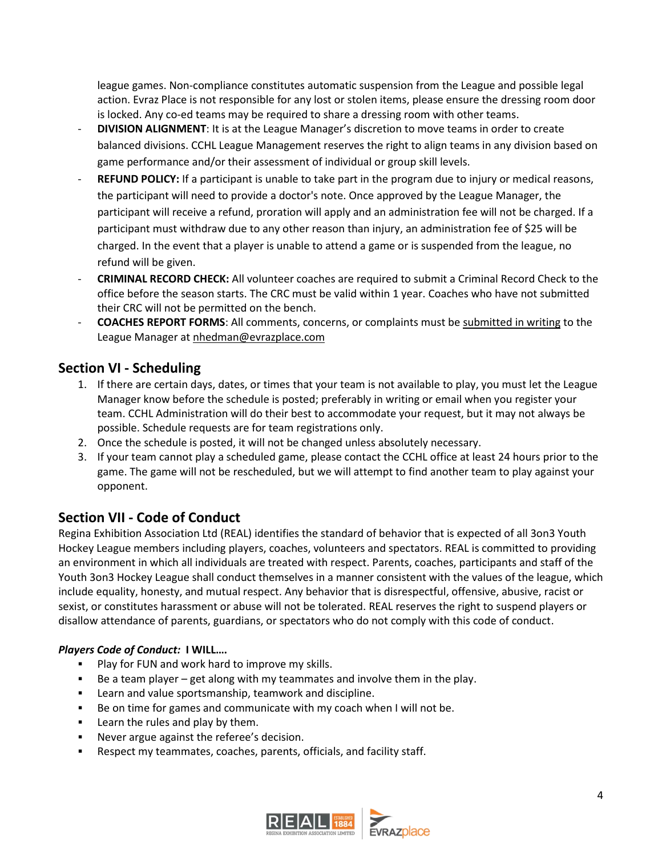league games. Non-compliance constitutes automatic suspension from the League and possible legal action. Evraz Place is not responsible for any lost or stolen items, please ensure the dressing room door is locked. Any co-ed teams may be required to share a dressing room with other teams.

- **DIVISION ALIGNMENT**: It is at the League Manager's discretion to move teams in order to create balanced divisions. CCHL League Management reserves the right to align teams in any division based on game performance and/or their assessment of individual or group skill levels.
- **REFUND POLICY:** If a participant is unable to take part in the program due to injury or medical reasons, the participant will need to provide a doctor's note. Once approved by the League Manager, the participant will receive a refund, proration will apply and an administration fee will not be charged. If a participant must withdraw due to any other reason than injury, an administration fee of \$25 will be charged. In the event that a player is unable to attend a game or is suspended from the league, no refund will be given.
- **CRIMINAL RECORD CHECK:** All volunteer coaches are required to submit a Criminal Record Check to the office before the season starts. The CRC must be valid within 1 year. Coaches who have not submitted their CRC will not be permitted on the bench.
- **COACHES REPORT FORMS**: All comments, concerns, or complaints must be submitted in writing to the League Manager at nhedman@evrazplace.com

### **Section VI - Scheduling**

- 1. If there are certain days, dates, or times that your team is not available to play, you must let the League Manager know before the schedule is posted; preferably in writing or email when you register your team. CCHL Administration will do their best to accommodate your request, but it may not always be possible. Schedule requests are for team registrations only.
- 2. Once the schedule is posted, it will not be changed unless absolutely necessary.
- 3. If your team cannot play a scheduled game, please contact the CCHL office at least 24 hours prior to the game. The game will not be rescheduled, but we will attempt to find another team to play against your opponent.

### **Section VII - Code of Conduct**

Regina Exhibition Association Ltd (REAL) identifies the standard of behavior that is expected of all 3on3 Youth Hockey League members including players, coaches, volunteers and spectators. REAL is committed to providing an environment in which all individuals are treated with respect. Parents, coaches, participants and staff of the Youth 3on3 Hockey League shall conduct themselves in a manner consistent with the values of the league, which include equality, honesty, and mutual respect. Any behavior that is disrespectful, offensive, abusive, racist or sexist, or constitutes harassment or abuse will not be tolerated. REAL reserves the right to suspend players or disallow attendance of parents, guardians, or spectators who do not comply with this code of conduct.

#### *Players Code of Conduct:* **I WILL….**

- **Play for FUN and work hard to improve my skills.**
- Be a team player get along with my teammates and involve them in the play.
- Learn and value sportsmanship, teamwork and discipline.
- Be on time for games and communicate with my coach when I will not be.
- **EXEC** Learn the rules and play by them.
- **Never argue against the referee's decision.**
- Respect my teammates, coaches, parents, officials, and facility staff.